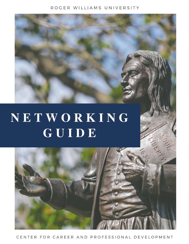# ROGER WILLIAMS UNIVERSITY



NETWORKING GUIDE

# CENTER FOR CAREER AND PROFESSIONAL DEVELOPMENT

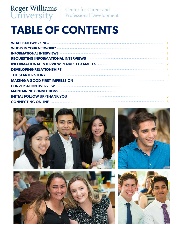

Center for Career and Professional Development

# **TABLE OF CONTENTS**

| <b>WHAT IS NETWORKING?</b>                                                                                                                                                                                                           |  |
|--------------------------------------------------------------------------------------------------------------------------------------------------------------------------------------------------------------------------------------|--|
|                                                                                                                                                                                                                                      |  |
| <b>INFORMATIONAL INTERVIEWS Example 2008 CONTRACTED AT A RESERVIEWS</b>                                                                                                                                                              |  |
| <b>REQUESTING INFORMATIONAL INTERVIEWS</b>                                                                                                                                                                                           |  |
| <b>INFORMATIONAL INTERVIEW REQUEST EXAMPLES AND RESERVIEW REQUEST OF A SET OF A SET OF A SET OF A SET OF A SET O</b>                                                                                                                 |  |
| <b>DEVELOPING RELATIONSHIPS</b>                                                                                                                                                                                                      |  |
| <b>THE STARTER STORY</b>                                                                                                                                                                                                             |  |
| <b>MAKING A GOOD FIRST IMPRESSION</b>                                                                                                                                                                                                |  |
| <b>CONVERSATION OVERVIEW EXECUTION OVERVIEW AND SERVICE OF A SERVICE OF A SERVICE OF A SERVICE OF A SERVICE OF A SERVICE OF A SERVICE OF A SERVICE OF A SERVICE OF A SERVICE OF A SERVICE OF A SERVICE OF A SERVICE OF A SERVICE</b> |  |
| MAINTAINING CONNECTIONS <b>And CONNECTIONS CONNECTION</b>                                                                                                                                                                            |  |
| <b>INITIAL FOLLOW UP/THANK YOU</b>                                                                                                                                                                                                   |  |
| <b>CONNECTING ONLINE</b>                                                                                                                                                                                                             |  |
|                                                                                                                                                                                                                                      |  |







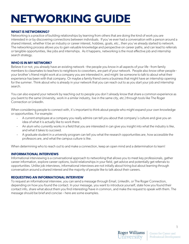# **NETWORKING GUIDE**

# **WHAT IS NETWORKING?**

Networking is a practice of building relationships by learning from others that are doing the kind of work you are interested in or by discovering connections between individuals. If you've ever had a conversation with a person around a shared interest, whether it be an industry or career interest, hobbies, goals, etc., then you've already started to network. The networking process allows you to gain valuable knowledge and perspective on career paths, and can lead to referrals or tangible opportunities, like jobs and internships. As it happens, networking is the most effective job and internship search strategy.

# **WHO IS IN MY NETWORK?**

Believe it or not, you already have an existing network - the people you know in all aspects of your life - from family members to classmates to teachers to neighbors to coworkers, are part of your network. People also know other people your brother's friend might work at a company you are interested in, and might be someone to talk to about what their experience has been with that company. Or maybe a family friend owns a business that might have an internship opening for the summer. Think about who is already in your network that you can reach out to as you start your job and internship search.

You can also expand your network by reaching out to people you don't already know that share a common experience as you (went to the same University, work in a similar industry, live in the same city, etc.) through tools like The Roger Connection or LinkedIn.

When considering people to connect with, it's important to think about people who might expand your own knowledge or opportunities. For example:

- A current employee at a company you really admire can tell you about that company's culture and give you an idea of what it is actually like to work there.
- An alum who currently works in a field that you are interested in can give you insight into what the industry is like, and what it takes to succeed.
- A graduate student in a university program can tell you what the research opportunities are, how accessible the professors are, and what the campus culture is like.

When determining who to reach out to and make a connection, keep an open mind and a determination to learn!

# **INFORMATIONAL INTERVIEWS**

Informational interviewing is a conversational approach to networking that allows you to meet key professionals, gather career information, explore career options, build relationships in your field, get advice and potentially get referrals to opportunities. Unlike job interviews, informational interviews are not initially about hiring but about learning through conversation around a shared interest and the majority of people like to talk about their careers.

# **REQUESTING AN INFORMATIONAL INTERVIEW**

To request an informational interview, you can send a message through Email, LinkedIn, or The Roger Connection, depending on how you found the contact. In your message, you want to introduce yourself, state how you found their contact info, share what about them you find interesting/have in common, and make the request to speak with them. The message should be brief and concise – here are some examples.

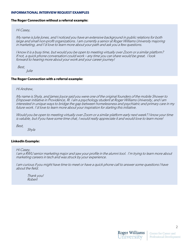#### **INFORMATIONAL INTERVIEW REQUEST EXAMPLES**

# **The Roger Connection without a referral example:**

# Hi Casey,

My name is Julie Jones, and I noticed you have an extensive background in public relations for both large and small non-profit organizations. I am currently a senior at Roger Williams University majoring in marketing, and I'd love to learn more about your path and ask you a few questions.

I know it is a busy time, but would you be open to meeting virtually over Zoom or a similar platform? If not, a quick phone conversation could work – any time you can share would be great. I look forward to hearing more about your work and your career journey!

 Best, Julie

# **The Roger Connection with a referral example:**

# Hi Andrew,

My name is Shyla, and James Joyce said you were one of the original founders of the mobile Shower to Empower initiative in Providence, RI. I am a psychology student at Roger Williams University, and I am interested in unique ways to bridge the gap between homelessness and psychiatric and primary care in my future work. I'd love to learn more about your inspiration for starting this initiative.

Would you be open to meeting virtually over Zoom or a similar platform early next week? I know your time is valuble, but if you have some time chat, I would really appreciate it and would love to learn more!

Best,

Shyla

#### **LinkedIn Example:**

Hi Casey,

I am a RWU senior marketing major and saw your profile in the alumni tool. I'm trying to learn more about marketing careers in tech and was struck by your experience.

I am curious if you might have time to meet or have a quick phone call to answer some questions I have about the field.

Thank you! Robert

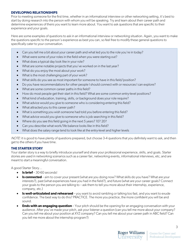#### **DEVELOPING RELATIONSHIPS**

Prior to meeting someone for the first time, whether in an informational interview or other networking setting, it's best to start by doing research into the person with whom you will be speaking. Try and learn about their career path and determine experiences of theirs you want to learn more about. You want to ask questions that are specific to their experience and your goals.

Here are some examples of questions to ask in an informational interview or networking situation. Again, you want to make the questions specific to the person's experience as best you can, so feel free to modify these general questions to specifically cater to your conversation.

- Can you tell me a bit about your career path and what led you to the role you're in today?
- What were some of your roles in the field when you were starting out?
- What does a typical day look like in your role?
- What are some notable projects that you've worked on in the last year?
- What do you enjoy the most about your work?
- What is the most challenging part of your work?
- What skills do you see as most important for someone to have in this field/position?
- Do you have recommendations for other people I should connect with or resources I can explore?
- What are some common career paths in this field?
- How do most people get their start in this field? What are some common entry-level positions?
- What kind of education, training, skills, or background does your role require?
- What advice would you give to someone who is considering entering this field?
- What attracted you to this career path?
- What is something you wish someone had told you before entering this field?
- What advice would you give to someone who is job searching in this field?
- Where do you see this field going in the next 5 years? 10? 20?
- Can you describe what work/life balance looks like in this field?
- What does the salary range tend to look like at the entry-level and higher levels

NOTE: it is good to have plenty of questions prepared, but choose 3-4 questions that you definitely want to ask, and then get to the others if you have time.

# **THE STARTER STORY**

Your starter story is a way to briefly introduce yourself and share your professional experience, skills, and goals. Starter stories are used in networking scenarios such as a career fair, networking events, informational interviews, etc, and are meant to start a meaningful conversation.

A good Starter Story…

- **Is brief** 30-60 seconds!
- **Is connected** aim to cover your present (what are you doing now? What skills do you have? What are your interests?), past (what experiences have you had in the field?), and future (what are your career goals? Connect your goals to the person you are talking to – ask them to tell you more about their internship, experience, company, etc.)
- **Is well-articulated and rehearsed** you want to avoid rambling or talking too fast, and you want to exude confidence. The best way to do this? PRACTICE. The more you practice, the more confident you will be and sound.
- **Ends with an engaging question** Your pitch should be the opening for an engaging conversation with your audience. After you've made your pitch, ask your listener a question (can you tell me more about your company? Can you tell me about your position at XYZ company? Can you tell me about your career path in ABC field? Can you tell me more about the internship program?)

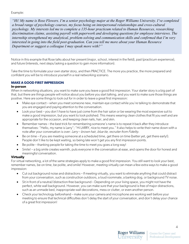Example:

*"Hi! My name is Rose Flowers. I'm a senior psychology major at the Roger Williams University. I've completed a broad range of psychology courses, my focus being on interpersonal relationships and cross-cultural psychology. My interests led me to complete a 135-hour practicum related to Human Resources, researching discrimination claims, assisting payroll with paperwork and developing questions for employee interviews. The internship strengthened my analytical, problem-solving and communication skills and confirmed that I'm very interested in going into the field post-graduation. Can you tell me more about your Human Resource Department or suggest a colleague I may speak more with?"*

Notice in this example that Rose talks about her present (major, school, interest in the field), past (practicum experience), and future (interests, next steps/asking a question to gain more information).

Take the time to formulate your own starter story, and then PRACTICE. The more you practice, the more prepared and confident you will be to introduce yourself in a real networking scenario.

# **MAKE A GOOD FIRST IMPRESSION**

#### **In-person**

When in networking situations, you want to make sure you leave a good first impression. Your starter story is a big part of that, but there are things people will notice about you before you start talking, and you want to make sure those things are positive. Here are some things to look out for in order to leave a great first impression:

- Make eye contact when you meet someone new, maintain eye contact while you're talking to demonstrate that you are engaged and paying attention to the conversation.
- Look your best you don't have to have just come from the hair salon or be wearing the most expensive suit to make a good impression, but you want to look polished. This means wearing clean clothes that fit you well and are appropriate for the occasion, and keeping clean nails, hair, and skin.
- Remember names the best trick for remembering someone's name is to repeat it back after they introduce themselves: "Hello, my name is Larry"; "Hi LARRY, nice to meet you." It also helps to write their name down with a note after your conversation is over: Larry - brown hair, blue tie, recruiter from Fidelity.
- Be on time if you are meeting someone at a scheduled time, get there on time (better yet, get there early!). People don't like to be kept waiting, so being late won't get you any first impression points.
- Be polite thanking people for taking the time to meet you goes a long way!
- Smile! a big smile creates warmth, puts everyone in the conversation at ease, and opens the door for honest and meaningful conversation.

# **Virtually**

For virtual networking, a lot of the same strategies apply to make a good first impression. You still want to look your best, remember names, be on time, be polite, and smile! However, meeting virtually can mean a few extra ways to make a good impression:

- Cut out background noise and distractions If meeting virtually, you want to eliminate anything that could distract from your conversation, such as construction outdoors, a loud roommate, a barking dog, or background TV noise.
- Sit in front of a neutral/distraction-free background Depending on your living space, you might not have the perfect, white wall background. However, you can make sure that your background is free of major distractions, such as an unmade bed, inappropriate wall decorations, mess or clutter, or even another person.
- Check your technology beforehand make sure your camera and microphone are working well before your meeting to ensure that technical difficulties don't delay the start of your conversation, and don't delay your chance of a great first impression!